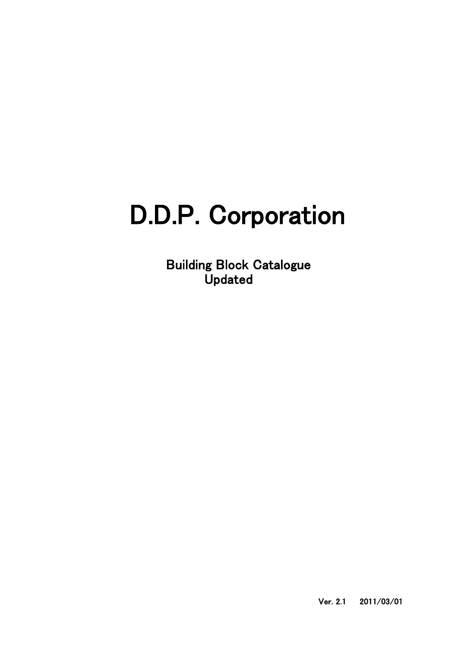## D.D.P. Corporation

Building Block Catalogue Updated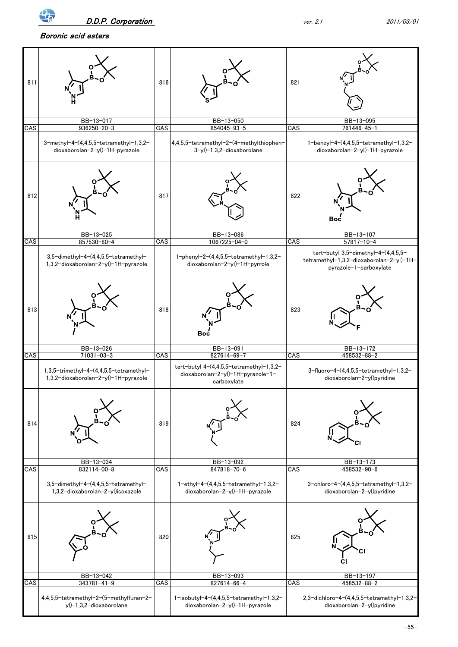

Boronic acid esters

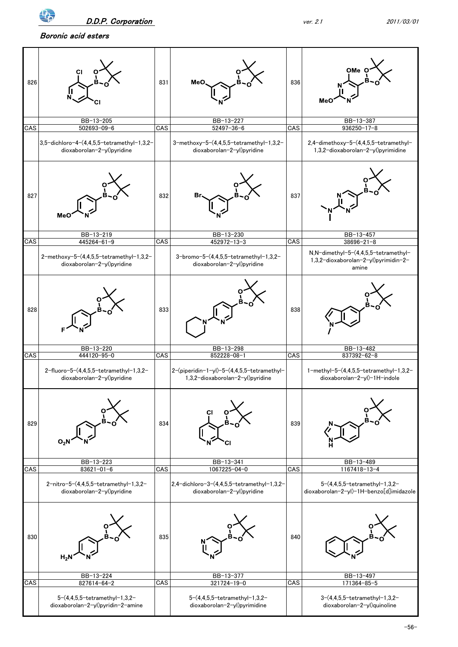Boronic acid esters



-56-